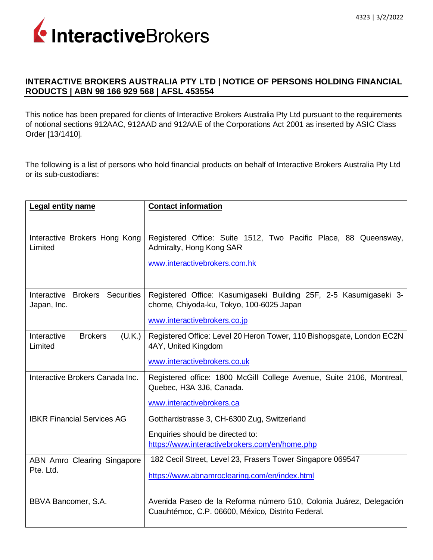

## **INTERACTIVE BROKERS AUSTRALIA PTY LTD | NOTICE OF PERSONS HOLDING FINANCIAL RODUCTS | ABN 98 166 929 568 | AFSL 453554**

This notice has been prepared for clients of Interactive Brokers Australia Pty Ltd pursuant to the requirements of notional sections 912AAC, 912AAD and 912AAE of the Corporations Act 2001 as inserted by ASIC Class Order [13/1410].

The following is a list of persons who hold financial products on behalf of Interactive Brokers Australia Pty Ltd or its sub-custodians:

| Legal entity name                                  | <b>Contact information</b>                                                                                                                    |
|----------------------------------------------------|-----------------------------------------------------------------------------------------------------------------------------------------------|
| Interactive Brokers Hong Kong<br>Limited           | Registered Office: Suite 1512, Two Pacific Place, 88 Queensway,<br>Admiralty, Hong Kong SAR<br>www.interactivebrokers.com.hk                  |
| Interactive Brokers Securities<br>Japan, Inc.      | Registered Office: Kasumigaseki Building 25F, 2-5 Kasumigaseki 3-<br>chome, Chiyoda-ku, Tokyo, 100-6025 Japan<br>www.interactivebrokers.co.jp |
| Interactive<br><b>Brokers</b><br>(U.K.)<br>Limited | Registered Office: Level 20 Heron Tower, 110 Bishopsgate, London EC2N<br>4AY, United Kingdom<br>www.interactivebrokers.co.uk                  |
| Interactive Brokers Canada Inc.                    | Registered office: 1800 McGill College Avenue, Suite 2106, Montreal,<br>Quebec, H3A 3J6, Canada.<br>www.interactivebrokers.ca                 |
| <b>IBKR Financial Services AG</b>                  | Gotthardstrasse 3, CH-6300 Zug, Switzerland<br>Enquiries should be directed to:<br>https://www.interactivebrokers.com/en/home.php             |
| ABN Amro Clearing Singapore<br>Pte. Ltd.           | 182 Cecil Street, Level 23, Frasers Tower Singapore 069547<br>https://www.abnamroclearing.com/en/index.html                                   |
| BBVA Bancomer, S.A.                                | Avenida Paseo de la Reforma número 510, Colonia Juárez, Delegación<br>Cuauhtémoc, C.P. 06600, México, Distrito Federal.                       |